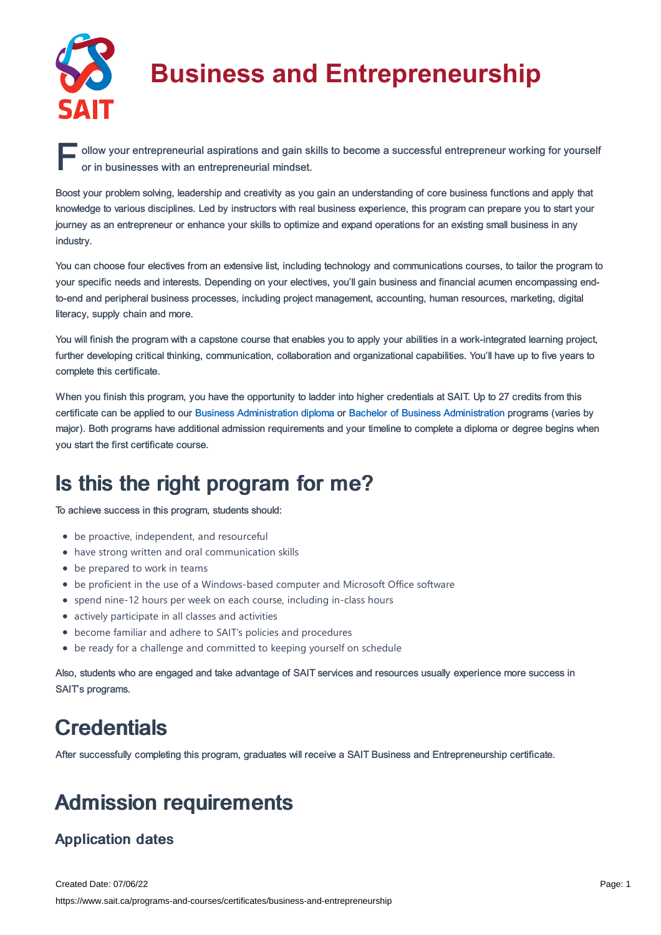

# **Business and Entrepreneurship**

Follow your entrepreneurial aspirations and gain skills to become a successful entrepreneur working for yourself<br>or in businesses with an entrepreneurial mindset. or in businesses with an entrepreneurial mindset.

Boost your problem solving, leadership and creativity as you gain an understanding of core business functions and apply that knowledge to various disciplines. Led by instructors with real business experience, this program can prepare you to start your journey as an entrepreneur or enhance your skills to optimize and expand operations for an existing small business in any industry.

You can choose four electives from an extensive list, including technology and communications courses, to tailor the program to your specific needs and interests. Depending on your electives, you'll gain business and financial acumen encompassing endto-end and peripheral business processes, including project management, accounting, human resources, marketing, digital literacy, supply chain and more.

You will finish the program with a capstone course that enables you to apply your abilities in a work-integrated learning project, further developing critical thinking, communication, collaboration and organizational capabilities. You'll have up to five years to complete this certificate.

When you finish this program, you have the opportunity to ladder into higher credentials at SAIT. Up to 27 credits from this certificate can be applied to our Business [Administration](https://www.sait.ca/programs-and-courses/diplomas/business-administration) diploma or Bachelor of Business [Administration](https://www.sait.ca/programs-and-courses/degrees/bachelor-of-applied-business-administration) programs (varies by major). Both programs have additional admission requirements and your timeline to complete a diploma or degree begins when you start the first certificate course.

# Is this the right program for me?

To achieve success in this program, students should:

- be proactive, independent, and resourceful
- have strong written and oral communication skills
- be prepared to work in teams
- be proficient in the use of a Windows-based computer and Microsoft Office software
- spend nine-12 hours per week on each course, including in-class hours
- actively participate in all classes and activities
- become familiar and adhere to SAIT's policies and procedures
- be ready for a challenge and committed to keeping yourself on schedule

Also, students who are engaged and take advantage of SAIT services and resources usually experience more success in SAIT's programs.

# **Credentials**

After successfully completing this program, graduates will receive a SAIT Business and Entrepreneurship certificate.

# Admission requirements

# Application dates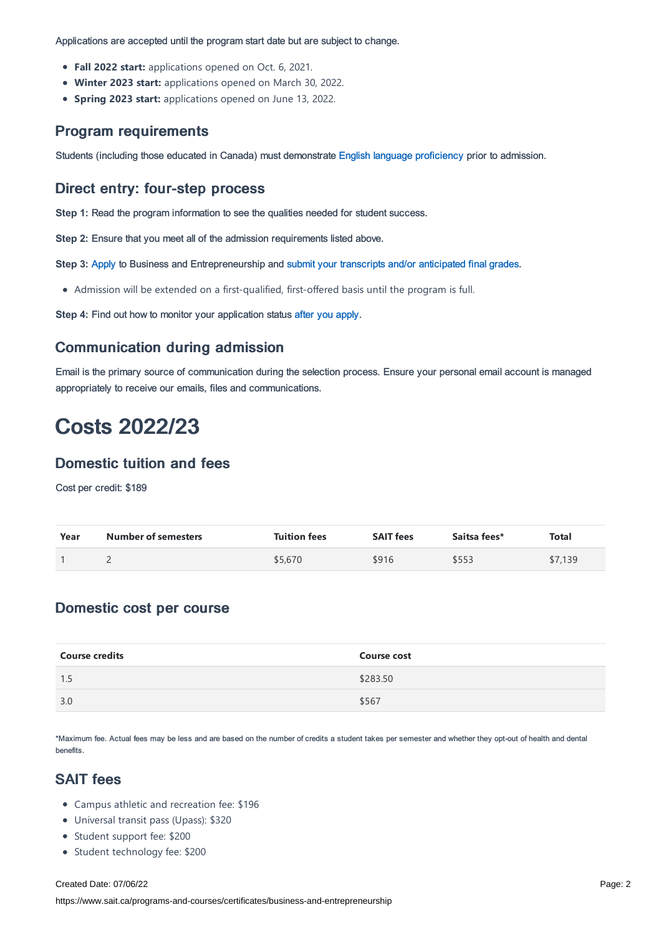Applications are accepted until the program start date but are subject to change.

- **Fall 2022 start:** applications opened on Oct. 6, 2021.
- **Winter 2023 start:** applications opened on March 30, 2022.
- **Spring 2023 start:** applications opened on June 13, 2022.

#### Program requirements

Students (including those educated in Canada) must demonstrate English language [proficiency](https://www.sait.ca/admissions/before-you-apply/english-proficiency) prior to admission.

#### Direct entry: four-step process

**Step 1:** Read the program information to see the qualities needed for student success.

**Step 2:** Ensure that you meet all of the admission requirements listed above.

**Step 3:** [Apply](https://www.sait.ca/admissions/apply) to Business and Entrepreneurship and submit your transcripts and/or [anticipated](https://www.sait.ca/admissions/after-you-apply/transcripts-and-supporting-documents) final grades.

Admission will be extended on a first-qualified, first-offered basis until the program is full.

**Step 4:** Find out how to monitor your application status after you [apply](https://www.sait.ca/admissions/after-you-apply/tracking-your-application).

#### Communication during admission

Email is the primary source of communication during the selection process. Ensure your personal email account is managed appropriately to receive our emails, files and communications.

# Costs 2022/23

#### Domestic tuition and fees

Cost per credit: \$189

| Year | <b>Number of semesters</b> | <b>Tuition fees</b> | <b>SAIT fees</b> | Saitsa fees* | Total   |
|------|----------------------------|---------------------|------------------|--------------|---------|
|      |                            | \$5,670             | \$916            | \$553        | \$7,139 |

#### Domestic cost per course

| <b>Course credits</b> | <b>Course cost</b> |
|-----------------------|--------------------|
| 1.5                   | \$283.50           |
| 3.0                   | \$567              |

\*Maximum fee. Actual fees may be less and are based on the number of credits a student takes per semester and whether they opt-out of health and dental benefits.

## SAIT fees

- Campus athletic and recreation fee: \$196
- Universal transit pass (Upass): \$320
- Student support fee: \$200
- Student technology fee: \$200

#### Created Date: 07/06/22